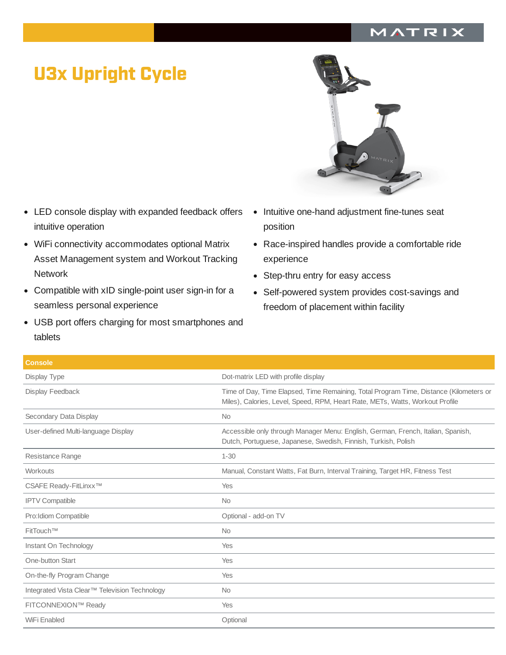## MATRIX

## U3x Upright Cycle

- LED console display with expanded feedback offers intuitive operation
- WiFi connectivity accommodates optional Matrix Asset Management system and Workout Tracking Network
- Compatible with xID single-point user sign-in for a seamless personal experience
- USB port offers charging for most smartphones and tablets
- 
- Intuitive one-hand adjustment fine-tunes seat position
- Race-inspired handles provide a comfortable ride experience
- Step-thru entry for easy access
- Self-powered system provides cost-savings and freedom of placement within facility

| <b>Console</b>                                |                                                                                                                                                                         |
|-----------------------------------------------|-------------------------------------------------------------------------------------------------------------------------------------------------------------------------|
| Display Type                                  | Dot-matrix LED with profile display                                                                                                                                     |
| Display Feedback                              | Time of Day, Time Elapsed, Time Remaining, Total Program Time, Distance (Kilometers or<br>Miles), Calories, Level, Speed, RPM, Heart Rate, METs, Watts, Workout Profile |
| Secondary Data Display                        | <b>No</b>                                                                                                                                                               |
| User-defined Multi-language Display           | Accessible only through Manager Menu: English, German, French, Italian, Spanish,<br>Dutch, Portuguese, Japanese, Swedish, Finnish, Turkish, Polish                      |
| Resistance Range                              | $1 - 30$                                                                                                                                                                |
| Workouts                                      | Manual, Constant Watts, Fat Burn, Interval Training, Target HR, Fitness Test                                                                                            |
| CSAFE Ready-FitLinxx <sup>™</sup>             | Yes                                                                                                                                                                     |
| <b>IPTV Compatible</b>                        | <b>No</b>                                                                                                                                                               |
| Pro: Idiom Compatible                         | Optional - add-on TV                                                                                                                                                    |
| FitTouch™                                     | <b>No</b>                                                                                                                                                               |
| Instant On Technology                         | Yes                                                                                                                                                                     |
| One-button Start                              | Yes                                                                                                                                                                     |
| On-the-fly Program Change                     | Yes                                                                                                                                                                     |
| Integrated Vista Clear™ Television Technology | <b>No</b>                                                                                                                                                               |
| FITCONNEXION™ Ready                           | Yes                                                                                                                                                                     |
| WiFi Enabled                                  | Optional                                                                                                                                                                |